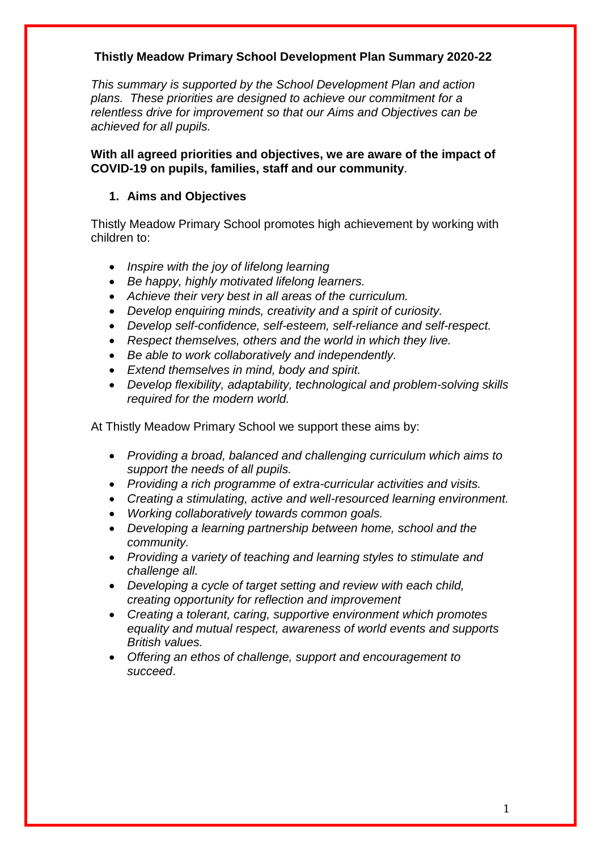## **Thistly Meadow Primary School Development Plan Summary 2020-22**

*This summary is supported by the School Development Plan and action plans. These priorities are designed to achieve our commitment for a relentless drive for improvement so that our Aims and Objectives can be achieved for all pupils.* 

**With all agreed priorities and objectives, we are aware of the impact of COVID-19 on pupils, families, staff and our community**.

### **1. Aims and Objectives**

Thistly Meadow Primary School promotes high achievement by working with children to:

- *Inspire with the joy of lifelong learning*
- *Be happy, highly motivated lifelong learners.*
- *Achieve their very best in all areas of the curriculum.*
- *Develop enquiring minds, creativity and a spirit of curiosity.*
- *Develop self-confidence, self-esteem, self-reliance and self-respect.*
- *Respect themselves, others and the world in which they live.*
- *Be able to work collaboratively and independently.*
- *Extend themselves in mind, body and spirit.*
- *Develop flexibility, adaptability, technological and problem-solving skills required for the modern world.*

At Thistly Meadow Primary School we support these aims by:

- *Providing a broad, balanced and challenging curriculum which aims to support the needs of all pupils.*
- *Providing a rich programme of extra-curricular activities and visits.*
- *Creating a stimulating, active and well-resourced learning environment.*
- *Working collaboratively towards common goals.*
- *Developing a learning partnership between home, school and the community.*
- *Providing a variety of teaching and learning styles to stimulate and challenge all.*
- *Developing a cycle of target setting and review with each child, creating opportunity for reflection and improvement*
- *Creating a tolerant, caring, supportive environment which promotes equality and mutual respect, awareness of world events and supports British values.*
- *Offering an ethos of challenge, support and encouragement to succeed*.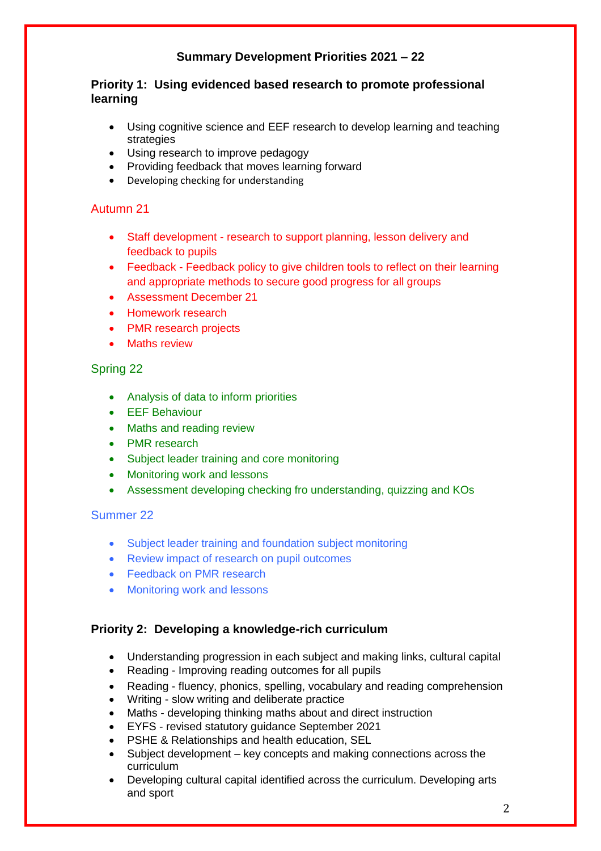# **Summary Development Priorities 2021 – 22**

### **Priority 1: Using evidenced based research to promote professional learning**

- Using cognitive science and EEF research to develop learning and teaching strategies
- Using research to improve pedagogy
- Providing feedback that moves learning forward
- Developing checking for understanding

### Autumn 21

- Staff development research to support planning, lesson delivery and feedback to pupils
- Feedback Feedback policy to give children tools to reflect on their learning and appropriate methods to secure good progress for all groups
- Assessment December 21
- Homework research
- PMR research projects
- Maths review

### Spring 22

- Analysis of data to inform priorities
- EEF Behaviour
- Maths and reading review
- PMR research
- Subject leader training and core monitoring
- Monitoring work and lessons
- Assessment developing checking fro understanding, quizzing and KOs

#### Summer 22

- Subject leader training and foundation subject monitoring
- Review impact of research on pupil outcomes
- Feedback on PMR research
- Monitoring work and lessons

### **Priority 2: Developing a knowledge-rich curriculum**

- Understanding progression in each subject and making links, cultural capital
- Reading Improving reading outcomes for all pupils
- Reading fluency, phonics, spelling, vocabulary and reading comprehension
- Writing slow writing and deliberate practice
- Maths developing thinking maths about and direct instruction
- EYFS revised statutory guidance September 2021
- PSHE & Relationships and health education, SEL
- Subject development key concepts and making connections across the curriculum
- Developing cultural capital identified across the curriculum. Developing arts and sport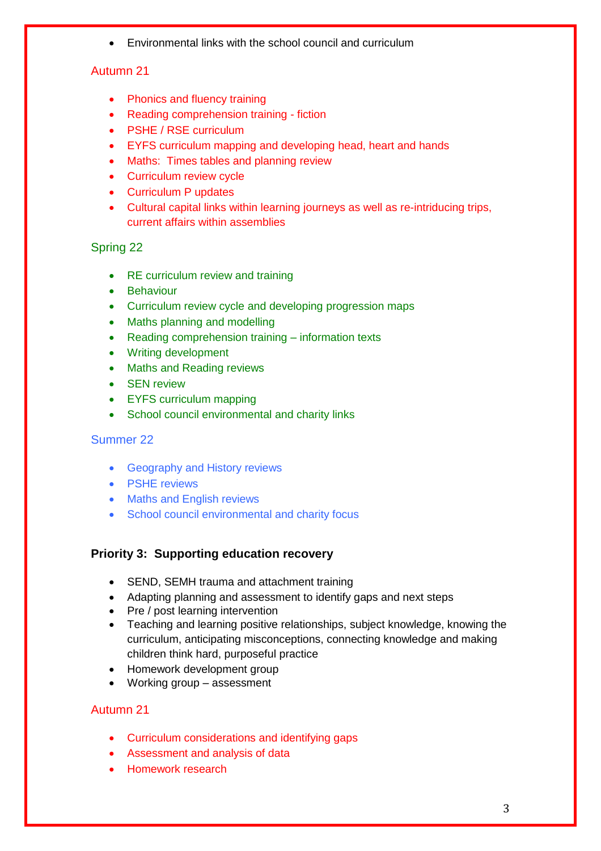Environmental links with the school council and curriculum

## Autumn 21

- Phonics and fluency training
- Reading comprehension training fiction
- PSHE / RSE curriculum
- EYFS curriculum mapping and developing head, heart and hands
- Maths: Times tables and planning review
- Curriculum review cycle
- Curriculum P updates
- Cultural capital links within learning journeys as well as re-intriducing trips, current affairs within assemblies

### Spring 22

- RE curriculum review and training
- Behaviour
- Curriculum review cycle and developing progression maps
- Maths planning and modelling
- Reading comprehension training information texts
- Writing development
- Maths and Reading reviews
- SEN review
- EYFS curriculum mapping
- School council environmental and charity links

### Summer 22

- Geography and History reviews
- PSHE reviews
- Maths and English reviews
- School council environmental and charity focus

### **Priority 3: Supporting education recovery**

- SEND, SEMH trauma and attachment training
- Adapting planning and assessment to identify gaps and next steps
- Pre / post learning intervention
- Teaching and learning positive relationships, subject knowledge, knowing the curriculum, anticipating misconceptions, connecting knowledge and making children think hard, purposeful practice
- Homework development group
- Working group assessment

### Autumn 21

- Curriculum considerations and identifying gaps
- Assessment and analysis of data
- Homework research